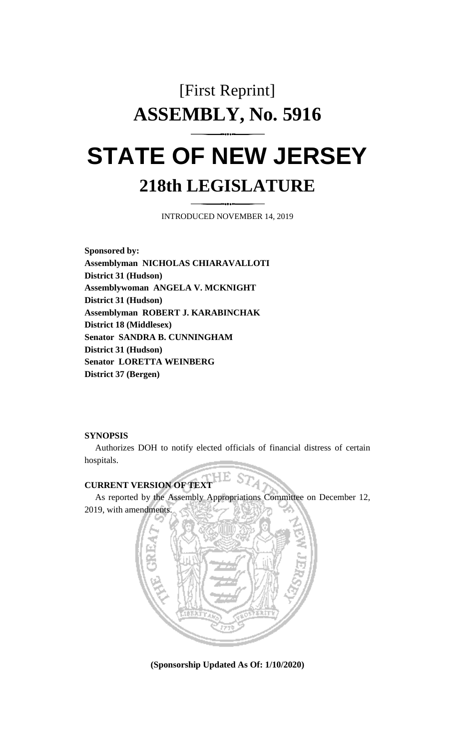# [First Reprint] **ASSEMBLY, No. 5916 STATE OF NEW JERSEY**

### **218th LEGISLATURE**

INTRODUCED NOVEMBER 14, 2019

**Sponsored by: Assemblyman NICHOLAS CHIARAVALLOTI District 31 (Hudson) Assemblywoman ANGELA V. MCKNIGHT District 31 (Hudson) Assemblyman ROBERT J. KARABINCHAK District 18 (Middlesex) Senator SANDRA B. CUNNINGHAM District 31 (Hudson) Senator LORETTA WEINBERG District 37 (Bergen)**

#### **SYNOPSIS**

Authorizes DOH to notify elected officials of financial distress of certain hospitals.

## **CURRENT VERSION OF TEXT**

As reported by the Assembly Appropriations Committee on December 12, 2019, with amendments.



**(Sponsorship Updated As Of: 1/10/2020)**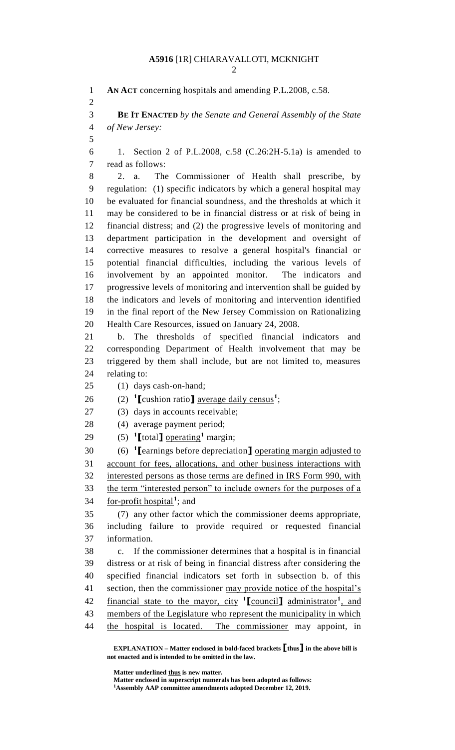**AN ACT** concerning hospitals and amending P.L.2008, c.58. **BE IT ENACTED** *by the Senate and General Assembly of the State of New Jersey:* 1. Section 2 of P.L.2008, c.58 (C.26:2H-5.1a) is amended to read as follows: 2. a. The Commissioner of Health shall prescribe, by regulation: (1) specific indicators by which a general hospital may be evaluated for financial soundness, and the thresholds at which it may be considered to be in financial distress or at risk of being in financial distress; and (2) the progressive levels of monitoring and department participation in the development and oversight of corrective measures to resolve a general hospital's financial or potential financial difficulties, including the various levels of involvement by an appointed monitor. The indicators and progressive levels of monitoring and intervention shall be guided by the indicators and levels of monitoring and intervention identified in the final report of the New Jersey Commission on Rationalizing Health Care Resources, issued on January 24, 2008. b. The thresholds of specified financial indicators and corresponding Department of Health involvement that may be triggered by them shall include, but are not limited to, measures relating to: (1) days cash-on-hand; 26 (2) <sup>1</sup>[cushion ratio] <u>average daily census</u><sup>1</sup>; (3) days in accounts receivable; (4) average payment period; 29 (5)  $\text{I}$  **[**total**]** <u>operating</u><sup>1</sup> margin; (6) **<sup>1</sup> [**earnings before depreciation**]** operating margin adjusted to account for fees, allocations, and other business interactions with interested persons as those terms are defined in IRS Form 990, with 33 the term "interested person" to include owners for the purposes of a 34 <u>for-profit hospital</u><sup>1</sup>; and (7) any other factor which the commissioner deems appropriate, including failure to provide required or requested financial information. c. If the commissioner determines that a hospital is in financial distress or at risk of being in financial distress after considering the specified financial indicators set forth in subsection b. of this 41 section, then the commissioner may provide notice of the hospital's 42 financial state to the mayor, city <sup>1</sup>[council] administrator<sup>1</sup>, and 43 members of the Legislature who represent the municipality in which the hospital is located. The commissioner may appoint, in

**Matter underlined thus is new matter.**

**Matter enclosed in superscript numerals has been adopted as follows:**

**Assembly AAP committee amendments adopted December 12, 2019.**

**EXPLANATION – Matter enclosed in bold-faced brackets [thus] in the above bill is not enacted and is intended to be omitted in the law.**